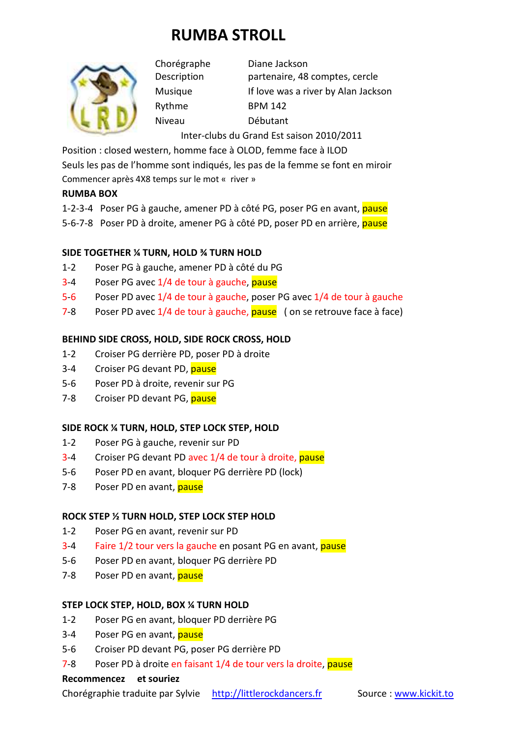# **RUMBA STROLL**



Rythme BPM 142 Niveau Débutant

Chorégraphe Diane Jackson Description partenaire, 48 comptes, cercle Musique If love was a river by Alan Jackson

Inter-clubs du Grand Est saison 2010/2011

Position : closed western, homme face à OLOD, femme face à ILOD

Seuls les pas de l'homme sont indiqués, les pas de la femme se font en miroir Commencer après 4X8 temps sur le mot « river »

#### **RUMBA BOX**

1-2-3-4 Poser PG à gauche, amener PD à côté PG, poser PG en avant, pause

5-6-7-8 Poser PD à droite, amener PG à côté PD, poser PD en arrière, pause

## **SIDE TOGETHER ¼ TURN, HOLD ¾ TURN HOLD**

- 1-2 Poser PG à gauche, amener PD à côté du PG
- 3-4 Poser PG avec 1/4 de tour à gauche, pause
- 5-6 Poser PD avec 1/4 de tour à gauche, poser PG avec 1/4 de tour à gauche
- 7-8 Poser PD avec 1/4 de tour à gauche, pause (on se retrouve face à face)

## **BEHIND SIDE CROSS, HOLD, SIDE ROCK CROSS, HOLD**

- 1-2 Croiser PG derrière PD, poser PD à droite
- 3-4 Croiser PG devant PD, pause
- 5-6 Poser PD à droite, revenir sur PG
- 7-8 Croiser PD devant PG, pause

## **SIDE ROCK ¼ TURN, HOLD, STEP LOCK STEP, HOLD**

- 1-2 Poser PG à gauche, revenir sur PD
- 3-4 Croiser PG devant PD avec 1/4 de tour à droite, pause
- 5-6 Poser PD en avant, bloquer PG derrière PD (lock)
- 7-8 Poser PD en avant, pause

## **ROCK STEP ½ TURN HOLD, STEP LOCK STEP HOLD**

- 1-2 Poser PG en avant, revenir sur PD
- 3-4 Faire 1/2 tour vers la gauche en posant PG en avant, pause
- 5-6 Poser PD en avant, bloquer PG derrière PD
- 7-8 Poser PD en avant, pause

## **STEP LOCK STEP, HOLD, BOX ¼ TURN HOLD**

- 1-2 Poser PG en avant, bloquer PD derrière PG
- 3-4 Poser PG en avant, pause
- 5-6 Croiser PD devant PG, poser PG derrière PD
- 7-8 Poser PD à droite en faisant 1/4 de tour vers la droite, pause

#### **Recommencez et souriez**

Chorégraphie traduite par Sylvie http://littlerockdancers.fr Source : www.kickit.to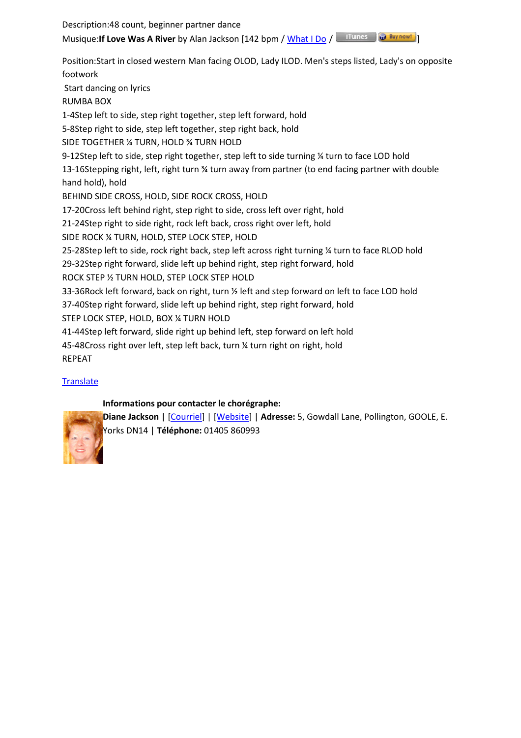Description:48 count, beginner partner dance Musique: If Love Was A River by Alan Jackson [142 bpm / What I Do / **Illians** 1 **a** Buy now!]

Position:Start in closed western Man facing OLOD, Lady ILOD. Men's steps listed, Lady's on opposite footwork Start dancing on lyrics RUMBA BOX 1-4Step left to side, step right together, step left forward, hold 5-8Step right to side, step left together, step right back, hold SIDE TOGETHER ¼ TURN, HOLD ¾ TURN HOLD 9-12Step left to side, step right together, step left to side turning ¼ turn to face LOD hold 13-16Stepping right, left, right turn ¾ turn away from partner (to end facing partner with double hand hold), hold BEHIND SIDE CROSS, HOLD, SIDE ROCK CROSS, HOLD 17-20Cross left behind right, step right to side, cross left over right, hold 21-24Step right to side right, rock left back, cross right over left, hold SIDE ROCK ¼ TURN, HOLD, STEP LOCK STEP, HOLD 25-28Step left to side, rock right back, step left across right turning ¼ turn to face RLOD hold 29-32Step right forward, slide left up behind right, step right forward, hold ROCK STEP ½ TURN HOLD, STEP LOCK STEP HOLD 33-36Rock left forward, back on right, turn ½ left and step forward on left to face LOD hold 37-40Step right forward, slide left up behind right, step right forward, hold STEP LOCK STEP, HOLD, BOX ¼ TURN HOLD 41-44Step left forward, slide right up behind left, step forward on left hold 45-48Cross right over left, step left back, turn ¼ turn right on right, hold REPEAT

## **Translate**

## **Informations pour contacter le chorégraphe:**



**Diane Jackson** | [Courriel] | [Website] | **Adresse:** 5, Gowdall Lane, Pollington, GOOLE, E. Yorks DN14 | **Téléphone:** 01405 860993